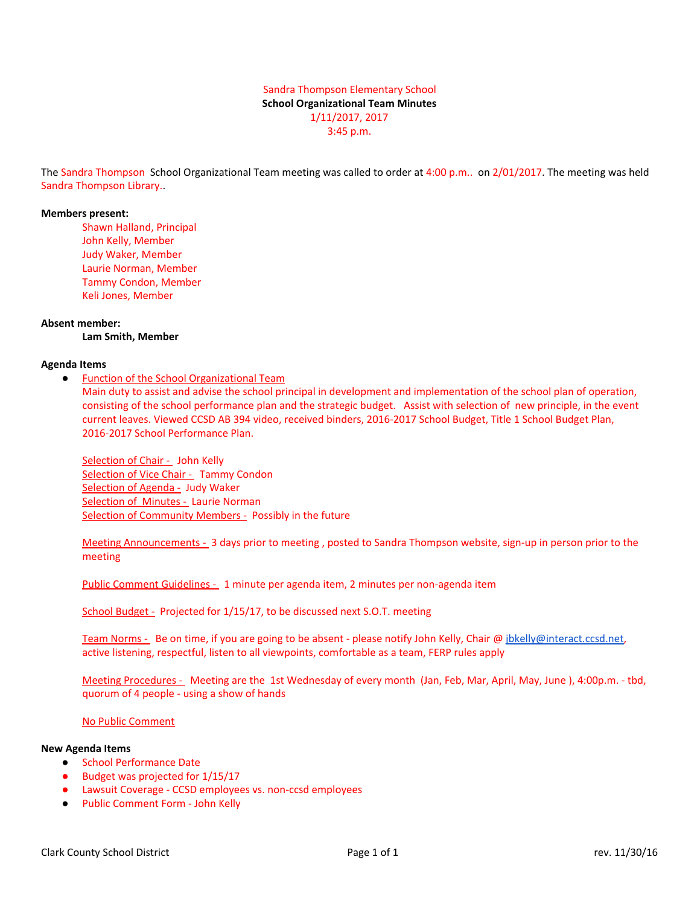Sandra Thompson Elementary School **School Organizational Team Minutes** 1/11/2017, 2017 3:45 p.m.

The Sandra Thompson School Organizational Team meeting was called to order at 4:00 p.m.. on 2/01/2017. The meeting was held Sandra Thompson Library..

#### **Members present:**

Shawn Halland, Principal John Kelly, Member Judy Waker, Member Laurie Norman, Member Tammy Condon, Member Keli Jones, Member

### **Absent member:**

**Lam Smith, Member**

### **Agenda Items**

● Function of the School Organizational Team

Main duty to assist and advise the school principal in development and implementation of the school plan of operation, consisting of the school performance plan and the strategic budget. Assist with selection of new principle, in the event current leaves. Viewed CCSD AB 394 video, received binders, 2016-2017 School Budget, Title 1 School Budget Plan, 2016-2017 School Performance Plan.

Selection of Chair - John Kelly Selection of Vice Chair - Tammy Condon Selection of Agenda - Judy Waker Selection of Minutes - Laurie Norman Selection of Community Members - Possibly in the future

Meeting Announcements - 3 days prior to meeting , posted to Sandra Thompson website, sign-up in person prior to the meeting

Public Comment Guidelines - 1 minute per agenda item, 2 minutes per non-agenda item

School Budget - Projected for 1/15/17, to be discussed next S.O.T. meeting

Team Norms - Be on time, if you are going to be absent - please notify John Kelly, Chair @ [jbkelly@interact.ccsd.net,](mailto:jbkelly@interact.ccsd.net) active listening, respectful, listen to all viewpoints, comfortable as a team, FERP rules apply

Meeting Procedures - Meeting are the 1st Wednesday of every month (Jan, Feb, Mar, April, May, June ), 4:00p.m. - tbd, quorum of 4 people - using a show of hands

No Public Comment

### **New Agenda Items**

- School Performance Date
- Budget was projected for 1/15/17
- Lawsuit Coverage CCSD employees vs. non-ccsd employees
- Public Comment Form John Kelly